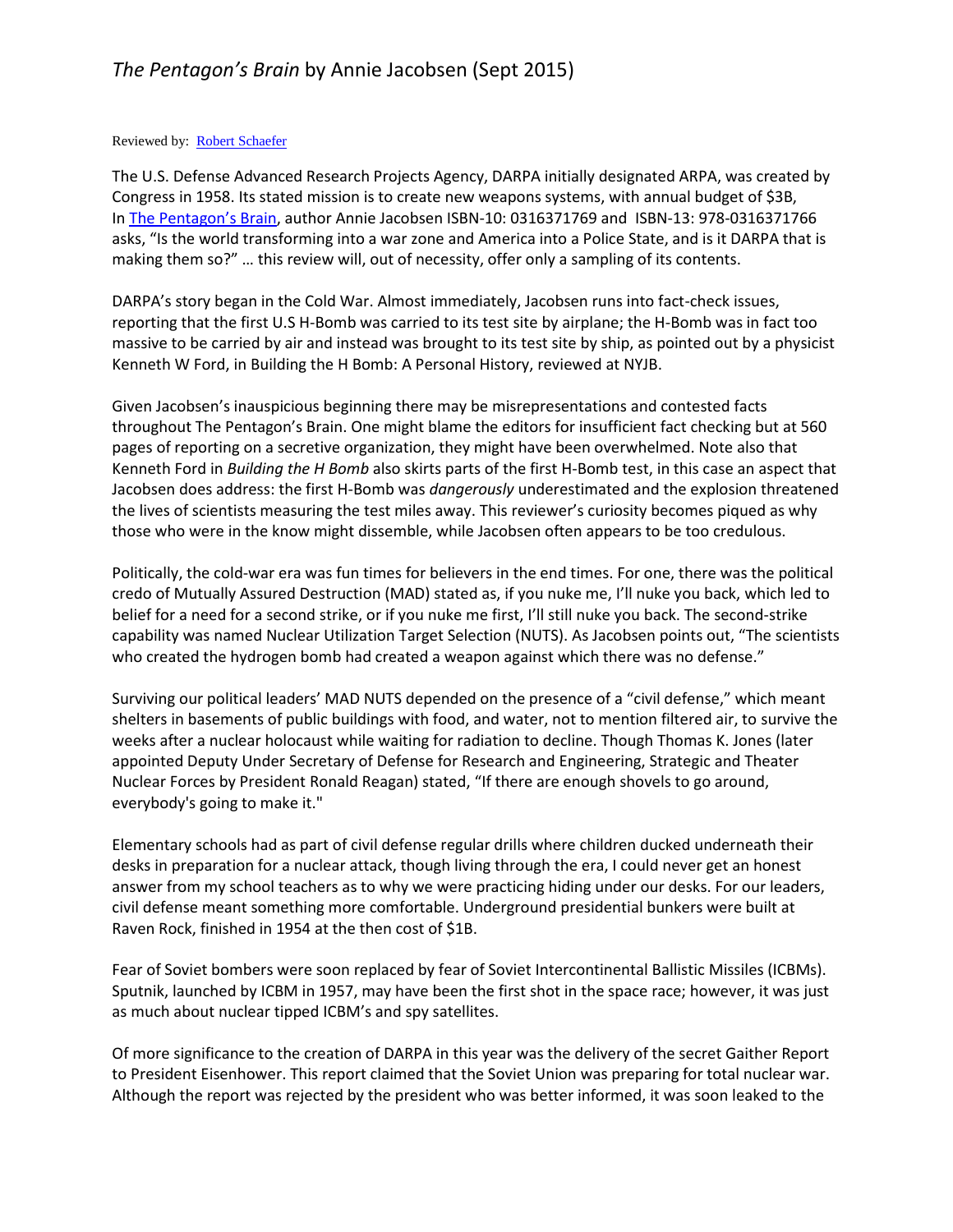## Reviewed by: Robert [Schaefer](http://www.nyjournalofbooks.com/book-review/pentagons-brain)

The U.S. Defense Advanced Research Projects Agency, DARPA initially designated ARPA, was created by Congress in 1958. Its stated mission is to create new weapons systems, with annual budget of \$3B, In [The Pentagon's Brain](https://www.amazon.com/Pentagons-Brain-Uncensored-Americas-Top-Secret/dp/0316371769?SubscriptionId=AKIAJWHNQV4B72FZYHNA&tag=newyorjouof01-20&linkCode=xm2&camp=2025&creative=165953&creativeASIN=0316371769), author Annie Jacobsen ISBN-10: 0316371769 and ISBN-13: 978-0316371766 asks, "Is the world transforming into a war zone and America into a Police State, and is it DARPA that is making them so?" … this review will, out of necessity, offer only a sampling of its contents.

DARPA's story began in the Cold War. Almost immediately, Jacobsen runs into fact-check issues, reporting that the first U.S H-Bomb was carried to its test site by airplane; the H-Bomb was in fact too massive to be carried by air and instead was brought to its test site by ship, as pointed out by a physicist Kenneth W Ford, in Building the H Bomb: A Personal History, reviewed at NYJB.

Given Jacobsen's inauspicious beginning there may be misrepresentations and contested facts throughout The Pentagon's Brain. One might blame the editors for insufficient fact checking but at 560 pages of reporting on a secretive organization, they might have been overwhelmed. Note also that Kenneth Ford in *Building the H Bomb* also skirts parts of the first H-Bomb test, in this case an aspect that Jacobsen does address: the first H-Bomb was *dangerously* underestimated and the explosion threatened the lives of scientists measuring the test miles away. This reviewer's curiosity becomes piqued as why those who were in the know might dissemble, while Jacobsen often appears to be too credulous.

Politically, the cold-war era was fun times for believers in the end times. For one, there was the political credo of Mutually Assured Destruction (MAD) stated as, if you nuke me, I'll nuke you back, which led to belief for a need for a second strike, or if you nuke me first, I'll still nuke you back. The second-strike capability was named Nuclear Utilization Target Selection (NUTS). As Jacobsen points out, "The scientists who created the hydrogen bomb had created a weapon against which there was no defense."

Surviving our political leaders' MAD NUTS depended on the presence of a "civil defense," which meant shelters in basements of public buildings with food, and water, not to mention filtered air, to survive the weeks after a nuclear holocaust while waiting for radiation to decline. Though Thomas K. Jones (later appointed Deputy Under Secretary of Defense for Research and Engineering, Strategic and Theater Nuclear Forces by President Ronald Reagan) stated, "If there are enough shovels to go around, everybody's going to make it."

Elementary schools had as part of civil defense regular drills where children ducked underneath their desks in preparation for a nuclear attack, though living through the era, I could never get an honest answer from my school teachers as to why we were practicing hiding under our desks. For our leaders, civil defense meant something more comfortable. Underground presidential bunkers were built at Raven Rock, finished in 1954 at the then cost of \$1B.

Fear of Soviet bombers were soon replaced by fear of Soviet Intercontinental Ballistic Missiles (ICBMs). Sputnik, launched by ICBM in 1957, may have been the first shot in the space race; however, it was just as much about nuclear tipped ICBM's and spy satellites.

Of more significance to the creation of DARPA in this year was the delivery of the secret Gaither Report to President Eisenhower. This report claimed that the Soviet Union was preparing for total nuclear war. Although the report was rejected by the president who was better informed, it was soon leaked to the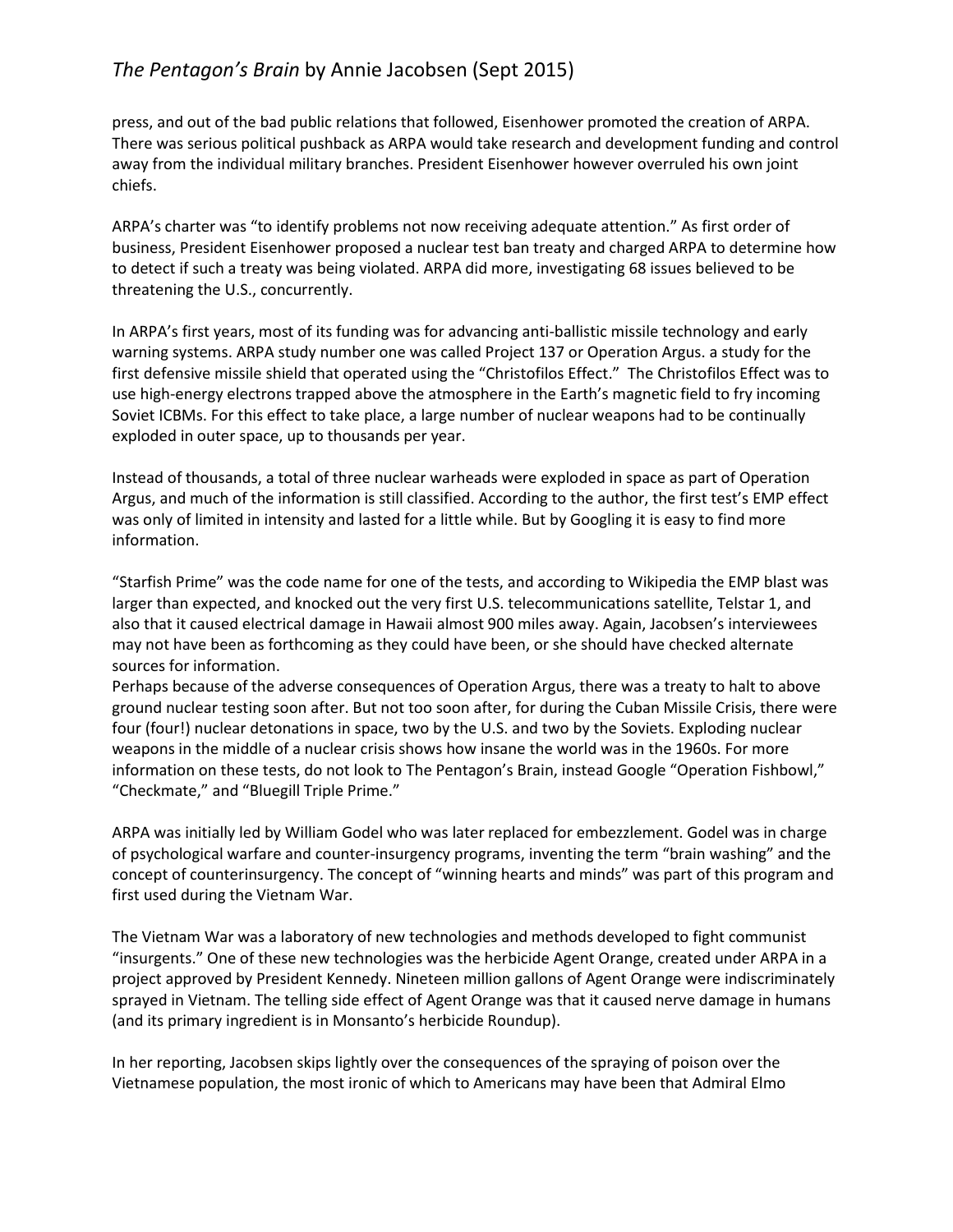## *The Pentagon's Brain* by Annie Jacobsen (Sept 2015)

press, and out of the bad public relations that followed, Eisenhower promoted the creation of ARPA. There was serious political pushback as ARPA would take research and development funding and control away from the individual military branches. President Eisenhower however overruled his own joint chiefs.

ARPA's charter was "to identify problems not now receiving adequate attention." As first order of business, President Eisenhower proposed a nuclear test ban treaty and charged ARPA to determine how to detect if such a treaty was being violated. ARPA did more, investigating 68 issues believed to be threatening the U.S., concurrently.

In ARPA's first years, most of its funding was for advancing anti-ballistic missile technology and early warning systems. ARPA study number one was called Project 137 or Operation Argus. a study for the first defensive missile shield that operated using the "Christofilos Effect." The Christofilos Effect was to use high-energy electrons trapped above the atmosphere in the Earth's magnetic field to fry incoming Soviet ICBMs. For this effect to take place, a large number of nuclear weapons had to be continually exploded in outer space, up to thousands per year.

Instead of thousands, a total of three nuclear warheads were exploded in space as part of Operation Argus, and much of the information is still classified. According to the author, the first test's EMP effect was only of limited in intensity and lasted for a little while. But by Googling it is easy to find more information.

"Starfish Prime" was the code name for one of the tests, and according to Wikipedia the EMP blast was larger than expected, and knocked out the very first U.S. telecommunications satellite, Telstar 1, and also that it caused electrical damage in Hawaii almost 900 miles away. Again, Jacobsen's interviewees may not have been as forthcoming as they could have been, or she should have checked alternate sources for information.

Perhaps because of the adverse consequences of Operation Argus, there was a treaty to halt to above ground nuclear testing soon after. But not too soon after, for during the Cuban Missile Crisis, there were four (four!) nuclear detonations in space, two by the U.S. and two by the Soviets. Exploding nuclear weapons in the middle of a nuclear crisis shows how insane the world was in the 1960s. For more information on these tests, do not look to The Pentagon's Brain, instead Google "Operation Fishbowl," "Checkmate," and "Bluegill Triple Prime."

ARPA was initially led by William Godel who was later replaced for embezzlement. Godel was in charge of psychological warfare and counter-insurgency programs, inventing the term "brain washing" and the concept of counterinsurgency. The concept of "winning hearts and minds" was part of this program and first used during the Vietnam War.

The Vietnam War was a laboratory of new technologies and methods developed to fight communist "insurgents." One of these new technologies was the herbicide Agent Orange, created under ARPA in a project approved by President Kennedy. Nineteen million gallons of Agent Orange were indiscriminately sprayed in Vietnam. The telling side effect of Agent Orange was that it caused nerve damage in humans (and its primary ingredient is in Monsanto's herbicide Roundup).

In her reporting, Jacobsen skips lightly over the consequences of the spraying of poison over the Vietnamese population, the most ironic of which to Americans may have been that Admiral Elmo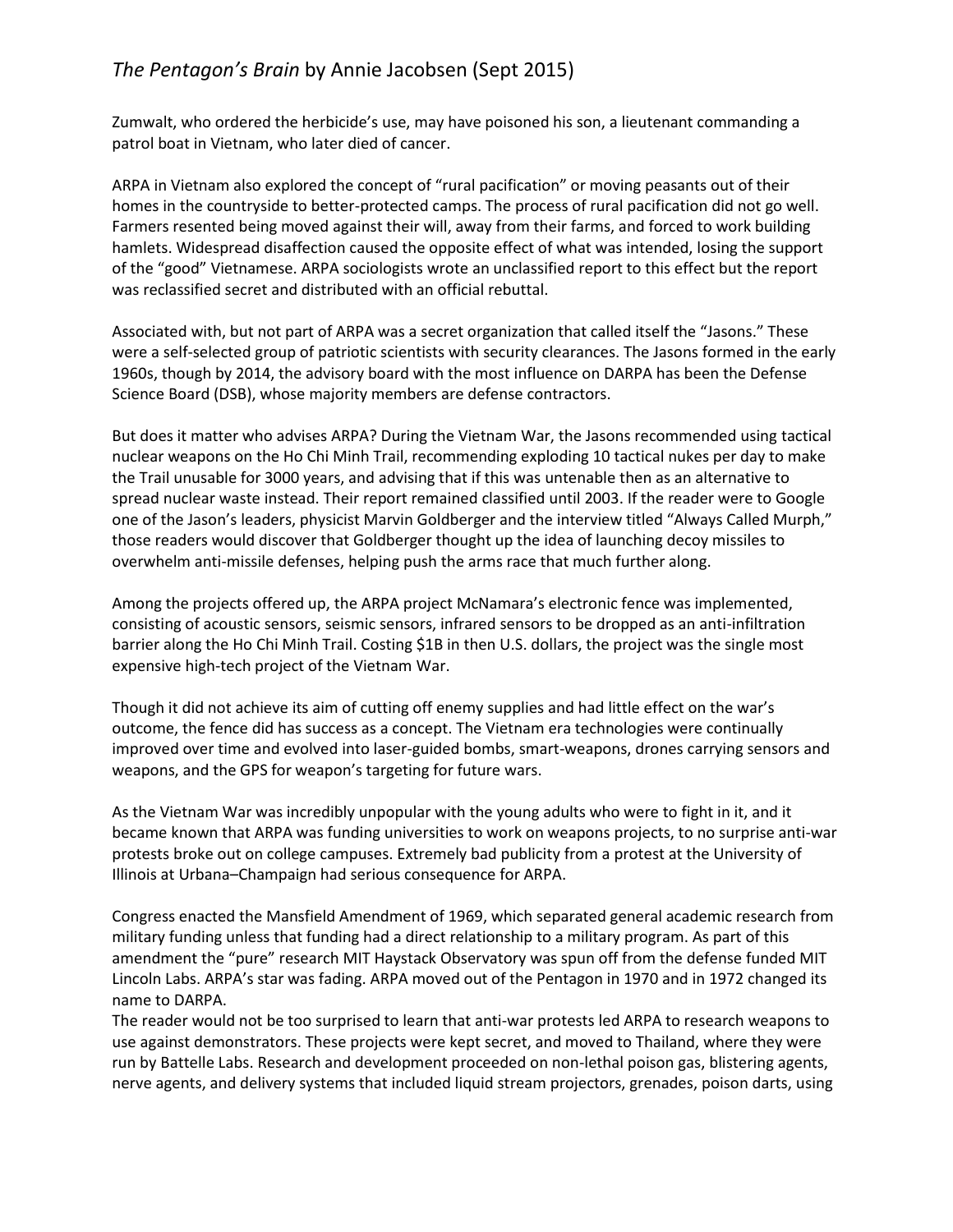Zumwalt, who ordered the herbicide's use, may have poisoned his son, a lieutenant commanding a patrol boat in Vietnam, who later died of cancer.

ARPA in Vietnam also explored the concept of "rural pacification" or moving peasants out of their homes in the countryside to better-protected camps. The process of rural pacification did not go well. Farmers resented being moved against their will, away from their farms, and forced to work building hamlets. Widespread disaffection caused the opposite effect of what was intended, losing the support of the "good" Vietnamese. ARPA sociologists wrote an unclassified report to this effect but the report was reclassified secret and distributed with an official rebuttal.

Associated with, but not part of ARPA was a secret organization that called itself the "Jasons." These were a self-selected group of patriotic scientists with security clearances. The Jasons formed in the early 1960s, though by 2014, the advisory board with the most influence on DARPA has been the Defense Science Board (DSB), whose majority members are defense contractors.

But does it matter who advises ARPA? During the Vietnam War, the Jasons recommended using tactical nuclear weapons on the Ho Chi Minh Trail, recommending exploding 10 tactical nukes per day to make the Trail unusable for 3000 years, and advising that if this was untenable then as an alternative to spread nuclear waste instead. Their report remained classified until 2003. If the reader were to Google one of the Jason's leaders, physicist Marvin Goldberger and the interview titled "Always Called Murph," those readers would discover that Goldberger thought up the idea of launching decoy missiles to overwhelm anti-missile defenses, helping push the arms race that much further along.

Among the projects offered up, the ARPA project McNamara's electronic fence was implemented, consisting of acoustic sensors, seismic sensors, infrared sensors to be dropped as an anti-infiltration barrier along the Ho Chi Minh Trail. Costing \$1B in then U.S. dollars, the project was the single most expensive high-tech project of the Vietnam War.

Though it did not achieve its aim of cutting off enemy supplies and had little effect on the war's outcome, the fence did has success as a concept. The Vietnam era technologies were continually improved over time and evolved into laser-guided bombs, smart-weapons, drones carrying sensors and weapons, and the GPS for weapon's targeting for future wars.

As the Vietnam War was incredibly unpopular with the young adults who were to fight in it, and it became known that ARPA was funding universities to work on weapons projects, to no surprise anti-war protests broke out on college campuses. Extremely bad publicity from a protest at the University of Illinois at Urbana–Champaign had serious consequence for ARPA.

Congress enacted the Mansfield Amendment of 1969, which separated general academic research from military funding unless that funding had a direct relationship to a military program. As part of this amendment the "pure" research MIT Haystack Observatory was spun off from the defense funded MIT Lincoln Labs. ARPA's star was fading. ARPA moved out of the Pentagon in 1970 and in 1972 changed its name to DARPA.

The reader would not be too surprised to learn that anti-war protests led ARPA to research weapons to use against demonstrators. These projects were kept secret, and moved to Thailand, where they were run by Battelle Labs. Research and development proceeded on non-lethal poison gas, blistering agents, nerve agents, and delivery systems that included liquid stream projectors, grenades, poison darts, using